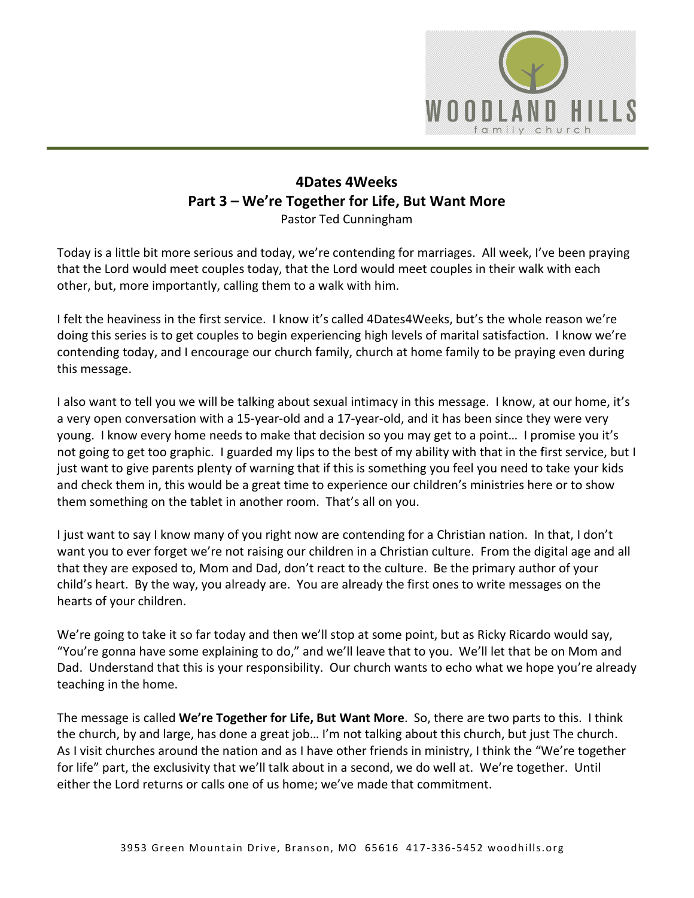

## **4Dates 4Weeks Part 3 – We're Together for Life, But Want More** Pastor Ted Cunningham

Today is a little bit more serious and today, we're contending for marriages. All week, I've been praying that the Lord would meet couples today, that the Lord would meet couples in their walk with each other, but, more importantly, calling them to a walk with him.

I felt the heaviness in the first service. I know it's called 4Dates4Weeks, but's the whole reason we're doing this series is to get couples to begin experiencing high levels of marital satisfaction. I know we're contending today, and I encourage our church family, church at home family to be praying even during this message.

I also want to tell you we will be talking about sexual intimacy in this message. I know, at our home, it's a very open conversation with a 15-year-old and a 17-year-old, and it has been since they were very young. I know every home needs to make that decision so you may get to a point… I promise you it's not going to get too graphic. I guarded my lips to the best of my ability with that in the first service, but I just want to give parents plenty of warning that if this is something you feel you need to take your kids and check them in, this would be a great time to experience our children's ministries here or to show them something on the tablet in another room. That's all on you.

I just want to say I know many of you right now are contending for a Christian nation. In that, I don't want you to ever forget we're not raising our children in a Christian culture. From the digital age and all that they are exposed to, Mom and Dad, don't react to the culture. Be the primary author of your child's heart. By the way, you already are. You are already the first ones to write messages on the hearts of your children.

We're going to take it so far today and then we'll stop at some point, but as Ricky Ricardo would say, "You're gonna have some explaining to do," and we'll leave that to you. We'll let that be on Mom and Dad. Understand that this is your responsibility. Our church wants to echo what we hope you're already teaching in the home.

The message is called **We're Together for Life, But Want More**. So, there are two parts to this. I think the church, by and large, has done a great job… I'm not talking about this church, but just The church. As I visit churches around the nation and as I have other friends in ministry, I think the "We're together for life" part, the exclusivity that we'll talk about in a second, we do well at. We're together. Until either the Lord returns or calls one of us home; we've made that commitment.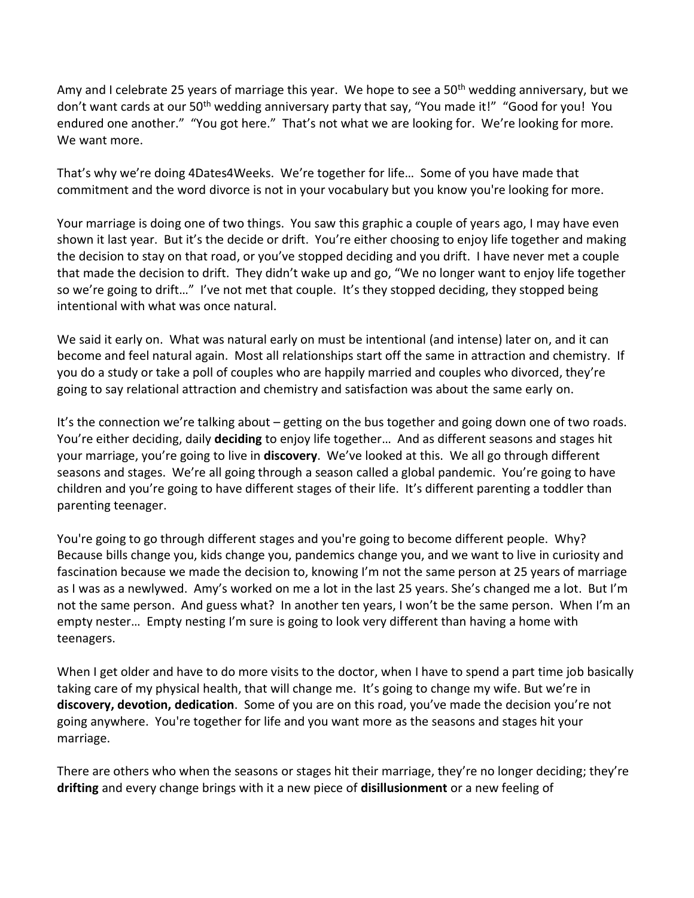Amy and I celebrate 25 years of marriage this year. We hope to see a 50<sup>th</sup> wedding anniversary, but we don't want cards at our 50<sup>th</sup> wedding anniversary party that say, "You made it!" "Good for you! You endured one another." "You got here." That's not what we are looking for. We're looking for more. We want more.

That's why we're doing 4Dates4Weeks. We're together for life… Some of you have made that commitment and the word divorce is not in your vocabulary but you know you're looking for more.

Your marriage is doing one of two things. You saw this graphic a couple of years ago, I may have even shown it last year. But it's the decide or drift. You're either choosing to enjoy life together and making the decision to stay on that road, or you've stopped deciding and you drift. I have never met a couple that made the decision to drift. They didn't wake up and go, "We no longer want to enjoy life together so we're going to drift…" I've not met that couple. It's they stopped deciding, they stopped being intentional with what was once natural.

We said it early on. What was natural early on must be intentional (and intense) later on, and it can become and feel natural again. Most all relationships start off the same in attraction and chemistry. If you do a study or take a poll of couples who are happily married and couples who divorced, they're going to say relational attraction and chemistry and satisfaction was about the same early on.

It's the connection we're talking about – getting on the bus together and going down one of two roads. You're either deciding, daily **deciding** to enjoy life together… And as different seasons and stages hit your marriage, you're going to live in **discovery**. We've looked at this. We all go through different seasons and stages. We're all going through a season called a global pandemic. You're going to have children and you're going to have different stages of their life. It's different parenting a toddler than parenting teenager.

You're going to go through different stages and you're going to become different people. Why? Because bills change you, kids change you, pandemics change you, and we want to live in curiosity and fascination because we made the decision to, knowing I'm not the same person at 25 years of marriage as I was as a newlywed. Amy's worked on me a lot in the last 25 years. She's changed me a lot. But I'm not the same person. And guess what? In another ten years, I won't be the same person. When I'm an empty nester… Empty nesting I'm sure is going to look very different than having a home with teenagers.

When I get older and have to do more visits to the doctor, when I have to spend a part time job basically taking care of my physical health, that will change me. It's going to change my wife. But we're in **discovery, devotion, dedication**. Some of you are on this road, you've made the decision you're not going anywhere. You're together for life and you want more as the seasons and stages hit your marriage.

There are others who when the seasons or stages hit their marriage, they're no longer deciding; they're **drifting** and every change brings with it a new piece of **disillusionment** or a new feeling of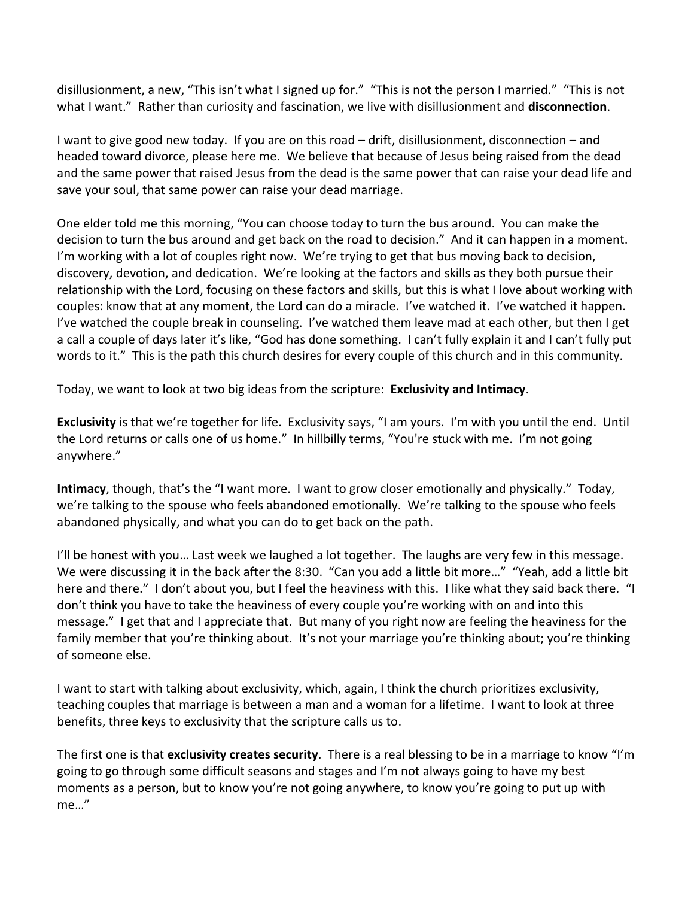disillusionment, a new, "This isn't what I signed up for." "This is not the person I married." "This is not what I want." Rather than curiosity and fascination, we live with disillusionment and **disconnection**.

I want to give good new today. If you are on this road – drift, disillusionment, disconnection – and headed toward divorce, please here me. We believe that because of Jesus being raised from the dead and the same power that raised Jesus from the dead is the same power that can raise your dead life and save your soul, that same power can raise your dead marriage.

One elder told me this morning, "You can choose today to turn the bus around. You can make the decision to turn the bus around and get back on the road to decision." And it can happen in a moment. I'm working with a lot of couples right now. We're trying to get that bus moving back to decision, discovery, devotion, and dedication. We're looking at the factors and skills as they both pursue their relationship with the Lord, focusing on these factors and skills, but this is what I love about working with couples: know that at any moment, the Lord can do a miracle. I've watched it. I've watched it happen. I've watched the couple break in counseling. I've watched them leave mad at each other, but then I get a call a couple of days later it's like, "God has done something. I can't fully explain it and I can't fully put words to it." This is the path this church desires for every couple of this church and in this community.

Today, we want to look at two big ideas from the scripture: **Exclusivity and Intimacy**.

**Exclusivity** is that we're together for life. Exclusivity says, "I am yours. I'm with you until the end. Until the Lord returns or calls one of us home." In hillbilly terms, "You're stuck with me. I'm not going anywhere."

**Intimacy**, though, that's the "I want more. I want to grow closer emotionally and physically." Today, we're talking to the spouse who feels abandoned emotionally. We're talking to the spouse who feels abandoned physically, and what you can do to get back on the path.

I'll be honest with you... Last week we laughed a lot together. The laughs are very few in this message. We were discussing it in the back after the 8:30. "Can you add a little bit more…" "Yeah, add a little bit here and there." I don't about you, but I feel the heaviness with this. I like what they said back there. "I don't think you have to take the heaviness of every couple you're working with on and into this message." I get that and I appreciate that. But many of you right now are feeling the heaviness for the family member that you're thinking about. It's not your marriage you're thinking about; you're thinking of someone else.

I want to start with talking about exclusivity, which, again, I think the church prioritizes exclusivity, teaching couples that marriage is between a man and a woman for a lifetime. I want to look at three benefits, three keys to exclusivity that the scripture calls us to.

The first one is that **exclusivity creates security**. There is a real blessing to be in a marriage to know "I'm going to go through some difficult seasons and stages and I'm not always going to have my best moments as a person, but to know you're not going anywhere, to know you're going to put up with me…"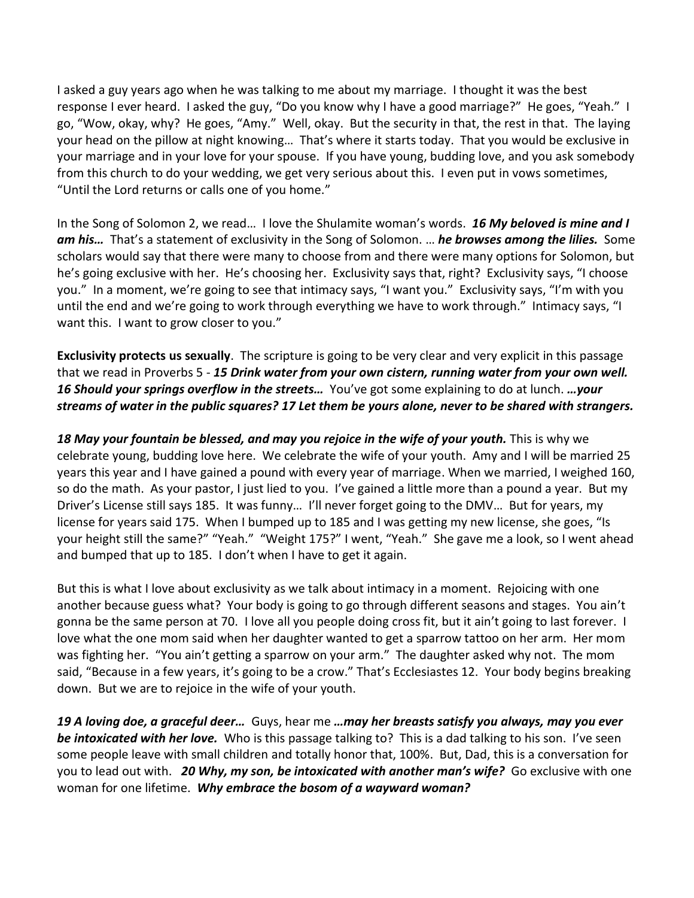I asked a guy years ago when he was talking to me about my marriage. I thought it was the best response I ever heard. I asked the guy, "Do you know why I have a good marriage?" He goes, "Yeah." I go, "Wow, okay, why? He goes, "Amy." Well, okay. But the security in that, the rest in that. The laying your head on the pillow at night knowing… That's where it starts today. That you would be exclusive in your marriage and in your love for your spouse. If you have young, budding love, and you ask somebody from this church to do your wedding, we get very serious about this. I even put in vows sometimes, "Until the Lord returns or calls one of you home."

In the Song of Solomon 2, we read… I love the Shulamite woman's words. *16 My beloved is mine and I am his…* That's a statement of exclusivity in the Song of Solomon. … *he browses among the lilies.* Some scholars would say that there were many to choose from and there were many options for Solomon, but he's going exclusive with her. He's choosing her. Exclusivity says that, right? Exclusivity says, "I choose you." In a moment, we're going to see that intimacy says, "I want you." Exclusivity says, "I'm with you until the end and we're going to work through everything we have to work through." Intimacy says, "I want this. I want to grow closer to you."

**Exclusivity protects us sexually**. The scripture is going to be very clear and very explicit in this passage that we read in Proverbs 5 - *15 Drink water from your own cistern, running water from your own well. 16 Should your springs overflow in the streets…* You've got some explaining to do at lunch. *…your streams of water in the public squares? 17 Let them be yours alone, never to be shared with strangers.* 

*18 May your fountain be blessed, and may you rejoice in the wife of your youth.* This is why we celebrate young, budding love here. We celebrate the wife of your youth. Amy and I will be married 25 years this year and I have gained a pound with every year of marriage. When we married, I weighed 160, so do the math. As your pastor, I just lied to you. I've gained a little more than a pound a year. But my Driver's License still says 185. It was funny… I'll never forget going to the DMV… But for years, my license for years said 175. When I bumped up to 185 and I was getting my new license, she goes, "Is your height still the same?" "Yeah." "Weight 175?" I went, "Yeah." She gave me a look, so I went ahead and bumped that up to 185. I don't when I have to get it again.

But this is what I love about exclusivity as we talk about intimacy in a moment. Rejoicing with one another because guess what? Your body is going to go through different seasons and stages. You ain't gonna be the same person at 70. I love all you people doing cross fit, but it ain't going to last forever. I love what the one mom said when her daughter wanted to get a sparrow tattoo on her arm. Her mom was fighting her. "You ain't getting a sparrow on your arm." The daughter asked why not. The mom said, "Because in a few years, it's going to be a crow." That's Ecclesiastes 12. Your body begins breaking down. But we are to rejoice in the wife of your youth.

*19 A loving doe, a graceful deer…* Guys, hear me *…may her breasts satisfy you always, may you ever be intoxicated with her love.* Who is this passage talking to? This is a dad talking to his son. I've seen some people leave with small children and totally honor that, 100%. But, Dad, this is a conversation for you to lead out with. *20 Why, my son, be intoxicated with another man's wife?* Go exclusive with one woman for one lifetime. *Why embrace the bosom of a wayward woman?*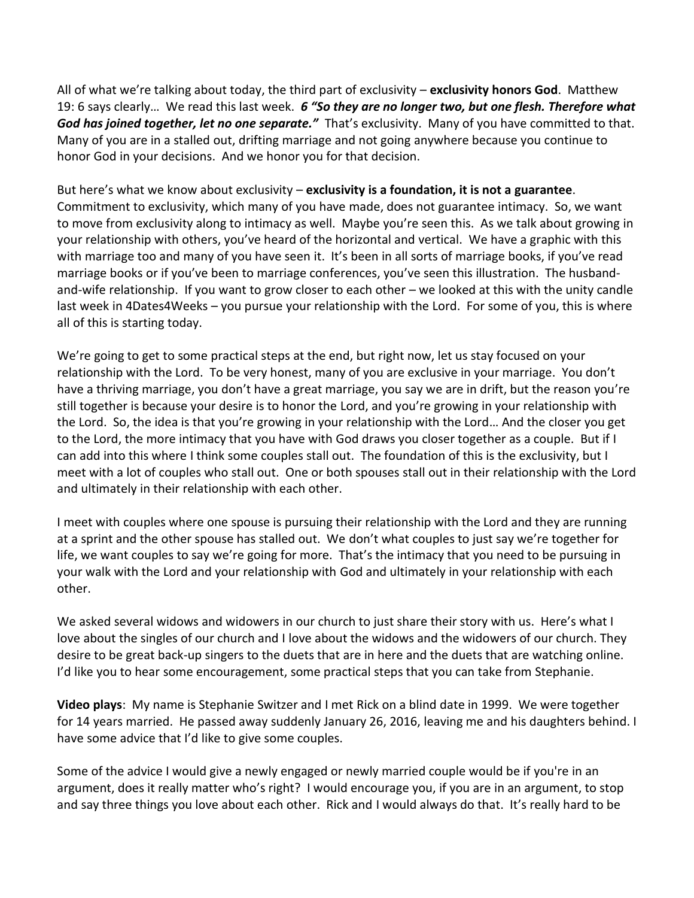All of what we're talking about today, the third part of exclusivity – **exclusivity honors God**. Matthew 19: 6 says clearly… We read this last week. *6 "So they are no longer two, but one flesh. Therefore what God has joined together, let no one separate."* That's exclusivity. Many of you have committed to that. Many of you are in a stalled out, drifting marriage and not going anywhere because you continue to honor God in your decisions. And we honor you for that decision.

But here's what we know about exclusivity – **exclusivity is a foundation, it is not a guarantee**. Commitment to exclusivity, which many of you have made, does not guarantee intimacy. So, we want to move from exclusivity along to intimacy as well. Maybe you're seen this. As we talk about growing in your relationship with others, you've heard of the horizontal and vertical. We have a graphic with this with marriage too and many of you have seen it. It's been in all sorts of marriage books, if you've read marriage books or if you've been to marriage conferences, you've seen this illustration. The husbandand-wife relationship. If you want to grow closer to each other – we looked at this with the unity candle last week in 4Dates4Weeks – you pursue your relationship with the Lord. For some of you, this is where all of this is starting today.

We're going to get to some practical steps at the end, but right now, let us stay focused on your relationship with the Lord. To be very honest, many of you are exclusive in your marriage. You don't have a thriving marriage, you don't have a great marriage, you say we are in drift, but the reason you're still together is because your desire is to honor the Lord, and you're growing in your relationship with the Lord. So, the idea is that you're growing in your relationship with the Lord… And the closer you get to the Lord, the more intimacy that you have with God draws you closer together as a couple. But if I can add into this where I think some couples stall out. The foundation of this is the exclusivity, but I meet with a lot of couples who stall out. One or both spouses stall out in their relationship with the Lord and ultimately in their relationship with each other.

I meet with couples where one spouse is pursuing their relationship with the Lord and they are running at a sprint and the other spouse has stalled out. We don't what couples to just say we're together for life, we want couples to say we're going for more. That's the intimacy that you need to be pursuing in your walk with the Lord and your relationship with God and ultimately in your relationship with each other.

We asked several widows and widowers in our church to just share their story with us. Here's what I love about the singles of our church and I love about the widows and the widowers of our church. They desire to be great back-up singers to the duets that are in here and the duets that are watching online. I'd like you to hear some encouragement, some practical steps that you can take from Stephanie.

**Video plays**: My name is Stephanie Switzer and I met Rick on a blind date in 1999. We were together for 14 years married. He passed away suddenly January 26, 2016, leaving me and his daughters behind. I have some advice that I'd like to give some couples.

Some of the advice I would give a newly engaged or newly married couple would be if you're in an argument, does it really matter who's right? I would encourage you, if you are in an argument, to stop and say three things you love about each other. Rick and I would always do that. It's really hard to be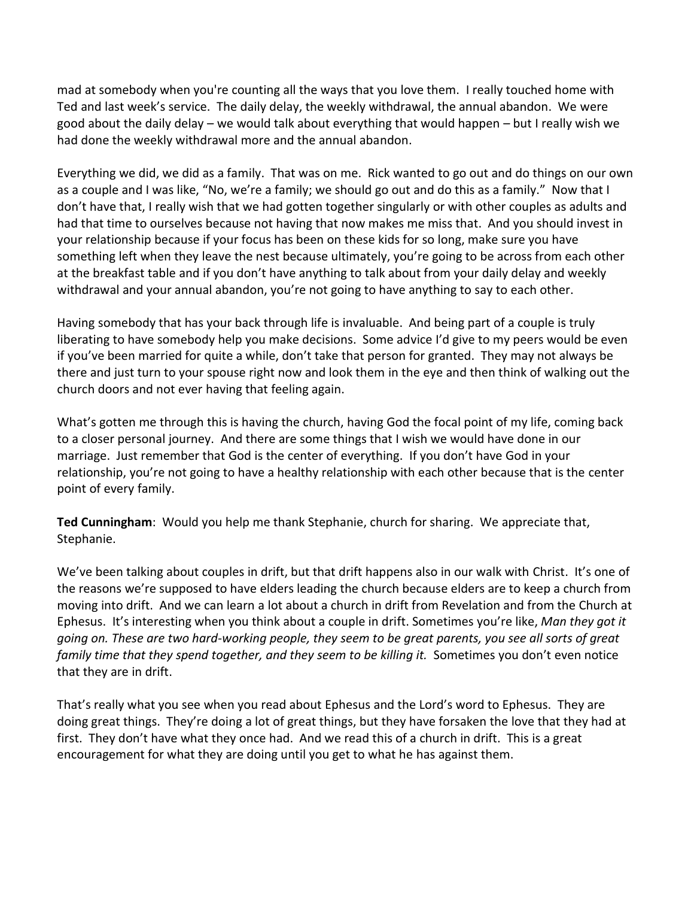mad at somebody when you're counting all the ways that you love them. I really touched home with Ted and last week's service. The daily delay, the weekly withdrawal, the annual abandon. We were good about the daily delay – we would talk about everything that would happen – but I really wish we had done the weekly withdrawal more and the annual abandon.

Everything we did, we did as a family. That was on me. Rick wanted to go out and do things on our own as a couple and I was like, "No, we're a family; we should go out and do this as a family." Now that I don't have that, I really wish that we had gotten together singularly or with other couples as adults and had that time to ourselves because not having that now makes me miss that. And you should invest in your relationship because if your focus has been on these kids for so long, make sure you have something left when they leave the nest because ultimately, you're going to be across from each other at the breakfast table and if you don't have anything to talk about from your daily delay and weekly withdrawal and your annual abandon, you're not going to have anything to say to each other.

Having somebody that has your back through life is invaluable. And being part of a couple is truly liberating to have somebody help you make decisions. Some advice I'd give to my peers would be even if you've been married for quite a while, don't take that person for granted. They may not always be there and just turn to your spouse right now and look them in the eye and then think of walking out the church doors and not ever having that feeling again.

What's gotten me through this is having the church, having God the focal point of my life, coming back to a closer personal journey. And there are some things that I wish we would have done in our marriage. Just remember that God is the center of everything. If you don't have God in your relationship, you're not going to have a healthy relationship with each other because that is the center point of every family.

**Ted Cunningham**: Would you help me thank Stephanie, church for sharing. We appreciate that, Stephanie.

We've been talking about couples in drift, but that drift happens also in our walk with Christ. It's one of the reasons we're supposed to have elders leading the church because elders are to keep a church from moving into drift. And we can learn a lot about a church in drift from Revelation and from the Church at Ephesus. It's interesting when you think about a couple in drift. Sometimes you're like, *Man they got it going on. These are two hard-working people, they seem to be great parents, you see all sorts of great family time that they spend together, and they seem to be killing it.* Sometimes you don't even notice that they are in drift.

That's really what you see when you read about Ephesus and the Lord's word to Ephesus. They are doing great things. They're doing a lot of great things, but they have forsaken the love that they had at first. They don't have what they once had. And we read this of a church in drift. This is a great encouragement for what they are doing until you get to what he has against them.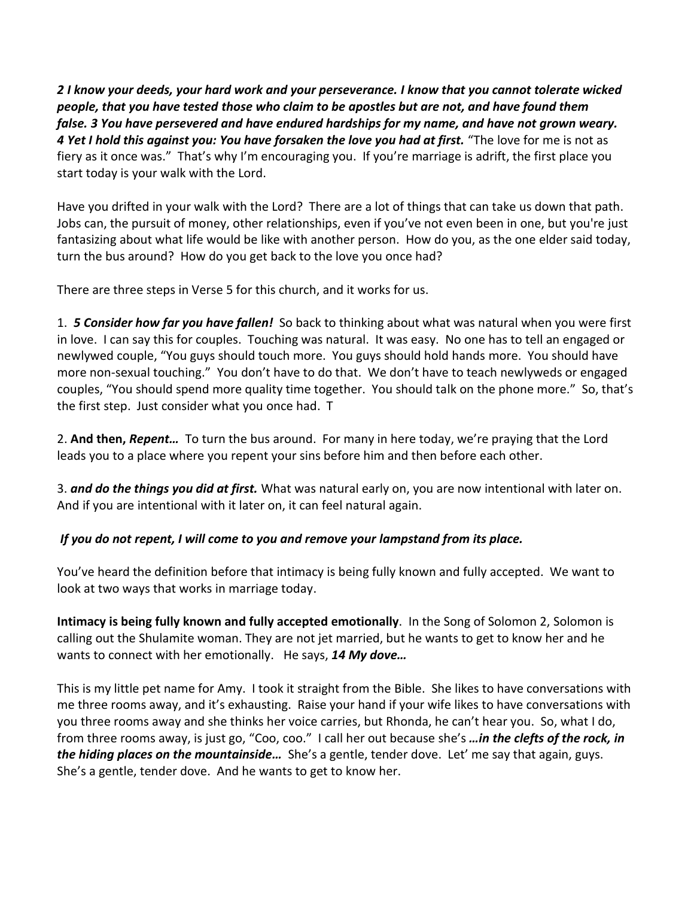*2 I know your deeds, your hard work and your perseverance. I know that you cannot tolerate wicked people, that you have tested those who claim to be apostles but are not, and have found them false. 3 You have persevered and have endured hardships for my name, and have not grown weary. 4 Yet I hold this against you: You have forsaken the love you had at first.* "The love for me is not as fiery as it once was." That's why I'm encouraging you. If you're marriage is adrift, the first place you start today is your walk with the Lord.

Have you drifted in your walk with the Lord? There are a lot of things that can take us down that path. Jobs can, the pursuit of money, other relationships, even if you've not even been in one, but you're just fantasizing about what life would be like with another person. How do you, as the one elder said today, turn the bus around? How do you get back to the love you once had?

There are three steps in Verse 5 for this church, and it works for us.

1. *5 Consider how far you have fallen!* So back to thinking about what was natural when you were first in love. I can say this for couples. Touching was natural. It was easy. No one has to tell an engaged or newlywed couple, "You guys should touch more. You guys should hold hands more. You should have more non-sexual touching." You don't have to do that. We don't have to teach newlyweds or engaged couples, "You should spend more quality time together. You should talk on the phone more." So, that's the first step. Just consider what you once had. T

2. **And then,** *Repent…* To turn the bus around. For many in here today, we're praying that the Lord leads you to a place where you repent your sins before him and then before each other.

3. *and do the things you did at first.* What was natural early on, you are now intentional with later on. And if you are intentional with it later on, it can feel natural again.

## *If you do not repent, I will come to you and remove your lampstand from its place.*

You've heard the definition before that intimacy is being fully known and fully accepted. We want to look at two ways that works in marriage today.

**Intimacy is being fully known and fully accepted emotionally**. In the Song of Solomon 2, Solomon is calling out the Shulamite woman. They are not jet married, but he wants to get to know her and he wants to connect with her emotionally. He says, *14 My dove…*

This is my little pet name for Amy. I took it straight from the Bible. She likes to have conversations with me three rooms away, and it's exhausting. Raise your hand if your wife likes to have conversations with you three rooms away and she thinks her voice carries, but Rhonda, he can't hear you. So, what I do, from three rooms away, is just go, "Coo, coo." I call her out because she's *…in the clefts of the rock, in the hiding places on the mountainside…* She's a gentle, tender dove. Let' me say that again, guys. She's a gentle, tender dove. And he wants to get to know her.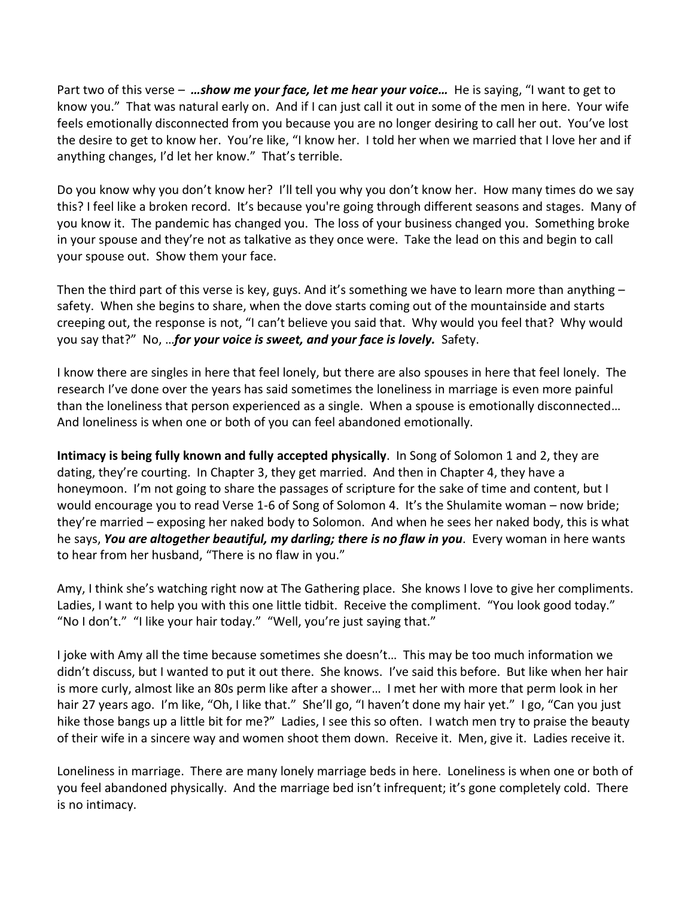Part two of this verse – *…show me your face, let me hear your voice…* He is saying, "I want to get to know you." That was natural early on. And if I can just call it out in some of the men in here. Your wife feels emotionally disconnected from you because you are no longer desiring to call her out. You've lost the desire to get to know her. You're like, "I know her. I told her when we married that I love her and if anything changes, I'd let her know." That's terrible.

Do you know why you don't know her? I'll tell you why you don't know her. How many times do we say this? I feel like a broken record. It's because you're going through different seasons and stages. Many of you know it. The pandemic has changed you. The loss of your business changed you. Something broke in your spouse and they're not as talkative as they once were. Take the lead on this and begin to call your spouse out. Show them your face.

Then the third part of this verse is key, guys. And it's something we have to learn more than anything – safety. When she begins to share, when the dove starts coming out of the mountainside and starts creeping out, the response is not, "I can't believe you said that. Why would you feel that? Why would you say that?" No, …*for your voice is sweet, and your face is lovely.* Safety.

I know there are singles in here that feel lonely, but there are also spouses in here that feel lonely. The research I've done over the years has said sometimes the loneliness in marriage is even more painful than the loneliness that person experienced as a single. When a spouse is emotionally disconnected… And loneliness is when one or both of you can feel abandoned emotionally.

**Intimacy is being fully known and fully accepted physically**. In Song of Solomon 1 and 2, they are dating, they're courting. In Chapter 3, they get married. And then in Chapter 4, they have a honeymoon. I'm not going to share the passages of scripture for the sake of time and content, but I would encourage you to read Verse 1-6 of Song of Solomon 4. It's the Shulamite woman – now bride; they're married – exposing her naked body to Solomon. And when he sees her naked body, this is what he says, *You are altogether beautiful, my darling; there is no flaw in you*. Every woman in here wants to hear from her husband, "There is no flaw in you."

Amy, I think she's watching right now at The Gathering place. She knows I love to give her compliments. Ladies, I want to help you with this one little tidbit. Receive the compliment. "You look good today." "No I don't." "I like your hair today." "Well, you're just saying that."

I joke with Amy all the time because sometimes she doesn't… This may be too much information we didn't discuss, but I wanted to put it out there. She knows. I've said this before. But like when her hair is more curly, almost like an 80s perm like after a shower… I met her with more that perm look in her hair 27 years ago. I'm like, "Oh, I like that." She'll go, "I haven't done my hair yet." I go, "Can you just hike those bangs up a little bit for me?" Ladies, I see this so often. I watch men try to praise the beauty of their wife in a sincere way and women shoot them down. Receive it. Men, give it. Ladies receive it.

Loneliness in marriage. There are many lonely marriage beds in here. Loneliness is when one or both of you feel abandoned physically. And the marriage bed isn't infrequent; it's gone completely cold. There is no intimacy.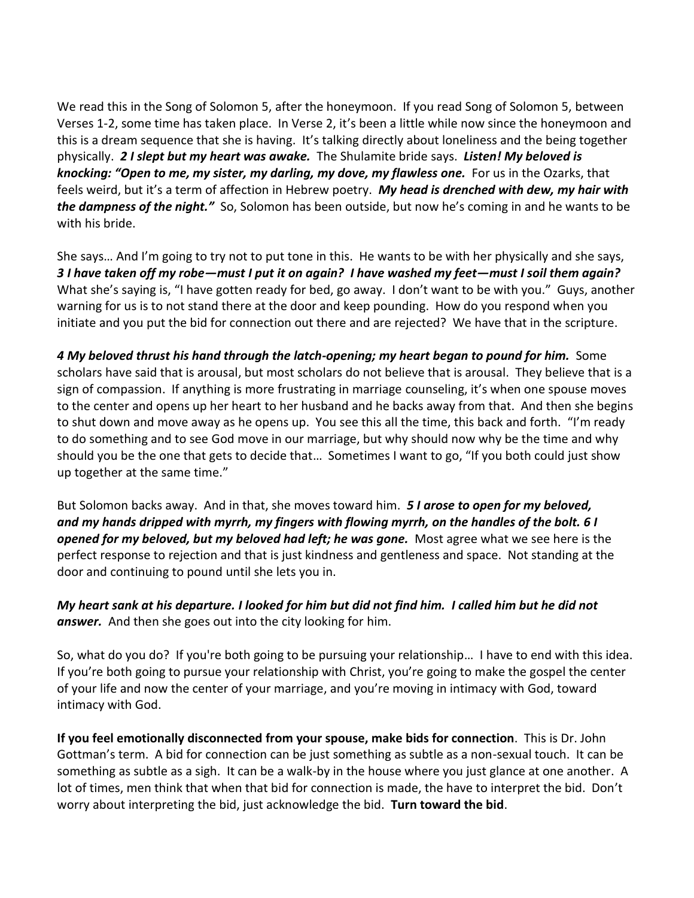We read this in the Song of Solomon 5, after the honeymoon. If you read Song of Solomon 5, between Verses 1-2, some time has taken place. In Verse 2, it's been a little while now since the honeymoon and this is a dream sequence that she is having. It's talking directly about loneliness and the being together physically. *2 I slept but my heart was awake.* The Shulamite bride says. *Listen! My beloved is knocking: "Open to me, my sister, my darling, my dove, my flawless one.* For us in the Ozarks, that feels weird, but it's a term of affection in Hebrew poetry. *My head is drenched with dew, my hair with the dampness of the night."* So, Solomon has been outside, but now he's coming in and he wants to be with his bride.

She says… And I'm going to try not to put tone in this. He wants to be with her physically and she says, *3 I have taken off my robe—must I put it on again? I have washed my feet—must I soil them again?* What she's saying is, "I have gotten ready for bed, go away. I don't want to be with you." Guys, another warning for us is to not stand there at the door and keep pounding. How do you respond when you initiate and you put the bid for connection out there and are rejected? We have that in the scripture.

*4 My beloved thrust his hand through the latch-opening; my heart began to pound for him.* Some scholars have said that is arousal, but most scholars do not believe that is arousal. They believe that is a sign of compassion. If anything is more frustrating in marriage counseling, it's when one spouse moves to the center and opens up her heart to her husband and he backs away from that. And then she begins to shut down and move away as he opens up. You see this all the time, this back and forth. "I'm ready to do something and to see God move in our marriage, but why should now why be the time and why should you be the one that gets to decide that… Sometimes I want to go, "If you both could just show up together at the same time."

But Solomon backs away. And in that, she moves toward him. *5 I arose to open for my beloved, and my hands dripped with myrrh, my fingers with flowing myrrh, on the handles of the bolt. 6 I opened for my beloved, but my beloved had left; he was gone.* Most agree what we see here is the perfect response to rejection and that is just kindness and gentleness and space. Not standing at the door and continuing to pound until she lets you in.

*My heart sank at his departure. I looked for him but did not find him. I called him but he did not answer.* And then she goes out into the city looking for him.

So, what do you do? If you're both going to be pursuing your relationship… I have to end with this idea. If you're both going to pursue your relationship with Christ, you're going to make the gospel the center of your life and now the center of your marriage, and you're moving in intimacy with God, toward intimacy with God.

**If you feel emotionally disconnected from your spouse, make bids for connection**. This is Dr. John Gottman's term. A bid for connection can be just something as subtle as a non-sexual touch. It can be something as subtle as a sigh. It can be a walk-by in the house where you just glance at one another. A lot of times, men think that when that bid for connection is made, the have to interpret the bid. Don't worry about interpreting the bid, just acknowledge the bid. **Turn toward the bid**.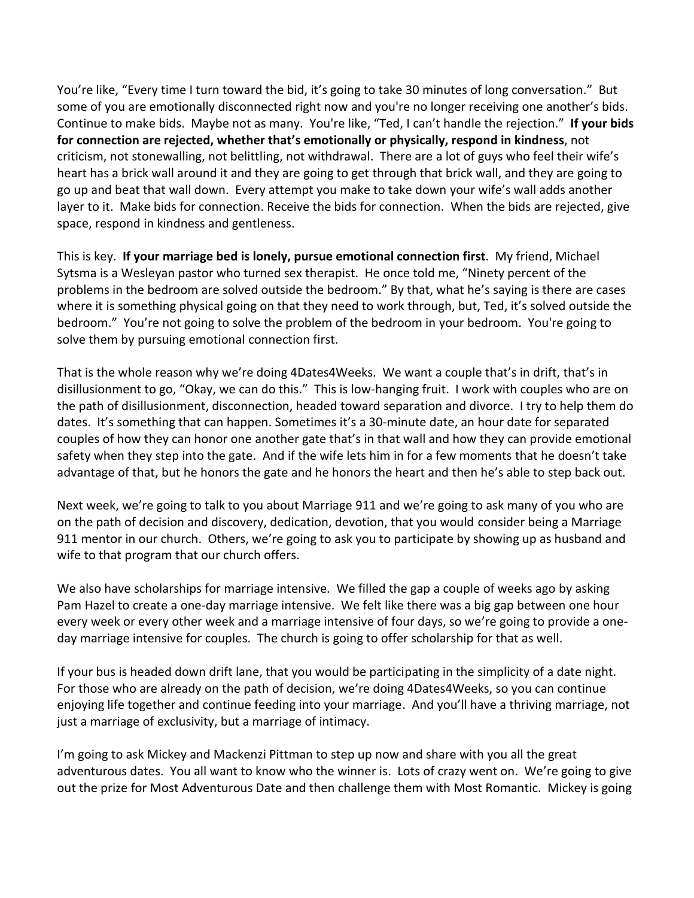You're like, "Every time I turn toward the bid, it's going to take 30 minutes of long conversation." But some of you are emotionally disconnected right now and you're no longer receiving one another's bids. Continue to make bids. Maybe not as many. You're like, "Ted, I can't handle the rejection." **If your bids for connection are rejected, whether that's emotionally or physically, respond in kindness**, not criticism, not stonewalling, not belittling, not withdrawal. There are a lot of guys who feel their wife's heart has a brick wall around it and they are going to get through that brick wall, and they are going to go up and beat that wall down. Every attempt you make to take down your wife's wall adds another layer to it. Make bids for connection. Receive the bids for connection. When the bids are rejected, give space, respond in kindness and gentleness.

This is key. **If your marriage bed is lonely, pursue emotional connection first**. My friend, Michael Sytsma is a Wesleyan pastor who turned sex therapist. He once told me, "Ninety percent of the problems in the bedroom are solved outside the bedroom." By that, what he's saying is there are cases where it is something physical going on that they need to work through, but, Ted, it's solved outside the bedroom." You're not going to solve the problem of the bedroom in your bedroom. You're going to solve them by pursuing emotional connection first.

That is the whole reason why we're doing 4Dates4Weeks. We want a couple that's in drift, that's in disillusionment to go, "Okay, we can do this." This is low-hanging fruit. I work with couples who are on the path of disillusionment, disconnection, headed toward separation and divorce. I try to help them do dates. It's something that can happen. Sometimes it's a 30-minute date, an hour date for separated couples of how they can honor one another gate that's in that wall and how they can provide emotional safety when they step into the gate. And if the wife lets him in for a few moments that he doesn't take advantage of that, but he honors the gate and he honors the heart and then he's able to step back out.

Next week, we're going to talk to you about Marriage 911 and we're going to ask many of you who are on the path of decision and discovery, dedication, devotion, that you would consider being a Marriage 911 mentor in our church. Others, we're going to ask you to participate by showing up as husband and wife to that program that our church offers.

We also have scholarships for marriage intensive. We filled the gap a couple of weeks ago by asking Pam Hazel to create a one-day marriage intensive. We felt like there was a big gap between one hour every week or every other week and a marriage intensive of four days, so we're going to provide a oneday marriage intensive for couples. The church is going to offer scholarship for that as well.

If your bus is headed down drift lane, that you would be participating in the simplicity of a date night. For those who are already on the path of decision, we're doing 4Dates4Weeks, so you can continue enjoying life together and continue feeding into your marriage. And you'll have a thriving marriage, not just a marriage of exclusivity, but a marriage of intimacy.

I'm going to ask Mickey and Mackenzi Pittman to step up now and share with you all the great adventurous dates. You all want to know who the winner is. Lots of crazy went on. We're going to give out the prize for Most Adventurous Date and then challenge them with Most Romantic. Mickey is going